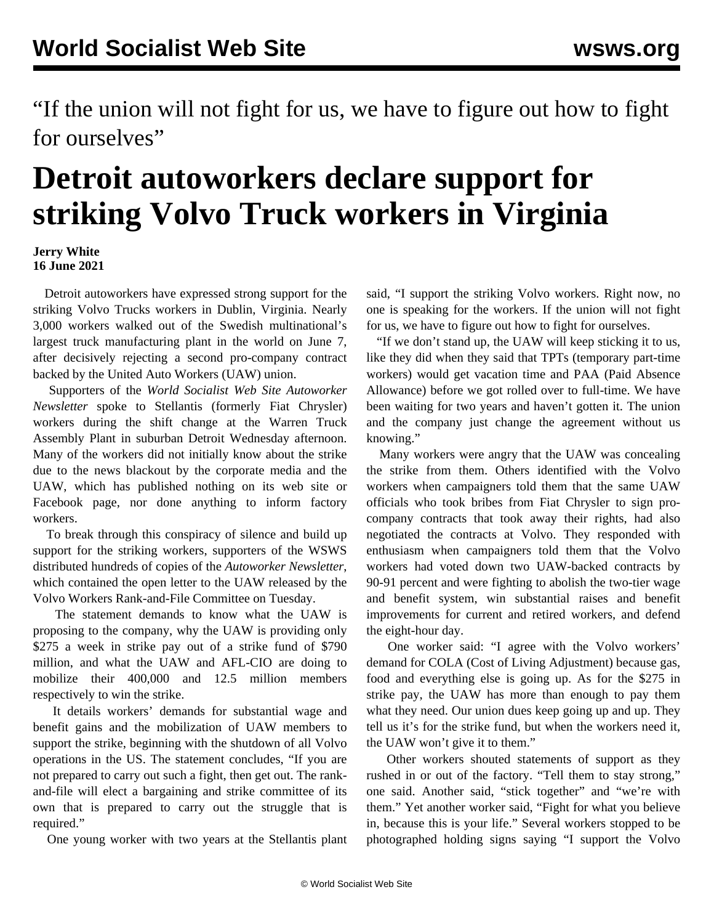"If the union will not fight for us, we have to figure out how to fight for ourselves"

## **Detroit autoworkers declare support for striking Volvo Truck workers in Virginia**

## **Jerry White 16 June 2021**

 Detroit autoworkers have expressed strong support for the striking Volvo Trucks workers in Dublin, Virginia. Nearly 3,000 workers walked out of the Swedish multinational's largest truck manufacturing plant in the world on June 7, after decisively rejecting a second pro-company contract backed by the United Auto Workers (UAW) union.

 Supporters of the *World Socialist Web Site Autoworker Newsletter* spoke to Stellantis (formerly Fiat Chrysler) workers during the shift change at the Warren Truck Assembly Plant in suburban Detroit Wednesday afternoon. Many of the workers did not initially know about the strike due to the news blackout by the corporate media and the UAW, which has published nothing on its web site or Facebook page, nor done anything to inform factory workers.

 To break through this conspiracy of silence and build up support for the striking workers, supporters of the WSWS distributed hundreds of copies of the *Autoworker Newsletter*, which contained the [open letter](/en/articles/2021/06/15/volv-j15.html) to the UAW released by the Volvo Workers Rank-and-File Committee on Tuesday.

 The statement demands to know what the UAW is proposing to the company, why the UAW is providing only \$275 a week in strike pay out of a strike fund of \$790 million, and what the UAW and AFL-CIO are doing to mobilize their 400,000 and 12.5 million members respectively to win the strike.

 It details workers' demands for substantial wage and benefit gains and the mobilization of UAW members to support the strike, beginning with the shutdown of all Volvo operations in the US. The statement concludes, "If you are not prepared to carry out such a fight, then get out. The rankand-file will elect a bargaining and strike committee of its own that is prepared to carry out the struggle that is required."

One young worker with two years at the Stellantis plant

said, "I support the striking Volvo workers. Right now, no one is speaking for the workers. If the union will not fight for us, we have to figure out how to fight for ourselves.

 "If we don't stand up, the UAW will keep sticking it to us, like they did when they said that TPTs (temporary part-time workers) would get vacation time and PAA (Paid Absence Allowance) before we got rolled over to full-time. We have been waiting for two years and haven't gotten it. The union and the company just change the agreement without us knowing."

 Many workers were angry that the UAW was concealing the strike from them. Others identified with the Volvo workers when campaigners told them that the same UAW officials who took bribes from Fiat Chrysler to sign procompany contracts that took away their rights, had also negotiated the contracts at Volvo. They responded with enthusiasm when campaigners told them that the Volvo workers had voted down two UAW-backed contracts by 90-91 percent and were fighting to abolish the two-tier wage and benefit system, win substantial raises and benefit improvements for current and retired workers, and defend the eight-hour day.

 One worker said: "I agree with the Volvo workers' demand for COLA (Cost of Living Adjustment) because gas, food and everything else is going up. As for the \$275 in strike pay, the UAW has more than enough to pay them what they need. Our union dues keep going up and up. They tell us it's for the strike fund, but when the workers need it, the UAW won't give it to them."

 Other workers shouted statements of support as they rushed in or out of the factory. "Tell them to stay strong," one said. Another said, "stick together" and "we're with them." Yet another worker said, "Fight for what you believe in, because this is your life." Several workers stopped to be photographed holding signs saying "I support the Volvo